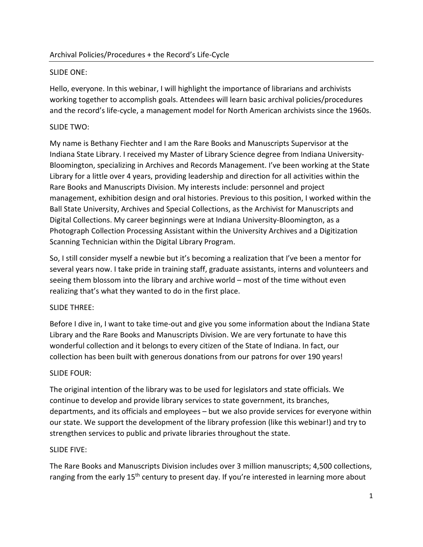# SLIDE ONE:

Hello, everyone. In this webinar, I will highlight the importance of librarians and archivists working together to accomplish goals. Attendees will learn basic archival policies/procedures and the record's life-cycle, a management model for North American archivists since the 1960s.

# SLIDE TWO:

My name is Bethany Fiechter and I am the Rare Books and Manuscripts Supervisor at the Indiana State Library. I received my Master of Library Science degree from Indiana University-Bloomington, specializing in Archives and Records Management. I've been working at the State Library for a little over 4 years, providing leadership and direction for all activities within the Rare Books and Manuscripts Division. My interests include: personnel and project management, exhibition design and oral histories. Previous to this position, I worked within the Ball State University, Archives and Special Collections, as the Archivist for Manuscripts and Digital Collections. My career beginnings were at Indiana University-Bloomington, as a Photograph Collection Processing Assistant within the University Archives and a Digitization Scanning Technician within the Digital Library Program.

So, I still consider myself a newbie but it's becoming a realization that I've been a mentor for several years now. I take pride in training staff, graduate assistants, interns and volunteers and seeing them blossom into the library and archive world – most of the time without even realizing that's what they wanted to do in the first place.

# SLIDE THREE:

Before I dive in, I want to take time-out and give you some information about the Indiana State Library and the Rare Books and Manuscripts Division. We are very fortunate to have this wonderful collection and it belongs to every citizen of the State of Indiana. In fact, our collection has been built with generous donations from our patrons for over 190 years!

## SLIDE FOUR:

The original intention of the library was to be used for legislators and state officials. We continue to develop and provide library services to state government, its branches, departments, and its officials and employees – but we also provide services for everyone within our state. We support the development of the library profession (like this webinar!) and try to strengthen services to public and private libraries throughout the state.

## SLIDE FIVE:

The Rare Books and Manuscripts Division includes over 3 million manuscripts; 4,500 collections, ranging from the early 15<sup>th</sup> century to present day. If you're interested in learning more about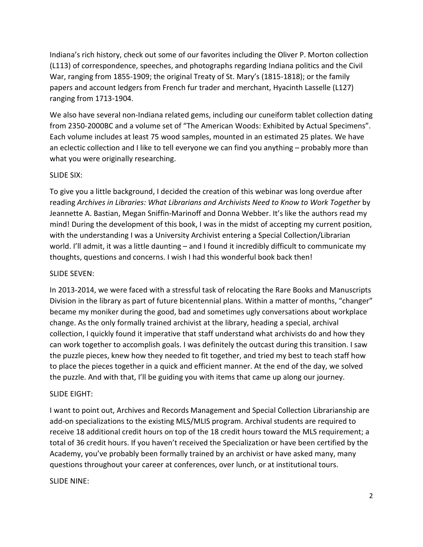Indiana's rich history, check out some of our favorites including the Oliver P. Morton collection (L113) of correspondence, speeches, and photographs regarding Indiana politics and the Civil War, ranging from 1855-1909; the original Treaty of St. Mary's (1815-1818); or the family papers and account ledgers from French fur trader and merchant, Hyacinth Lasselle (L127) ranging from 1713-1904.

We also have several non-Indiana related gems, including our cuneiform tablet collection dating from 2350-2000BC and a volume set of "The American Woods: Exhibited by Actual Specimens". Each volume includes at least 75 wood samples, mounted in an estimated 25 plates. We have an eclectic collection and I like to tell everyone we can find you anything – probably more than what you were originally researching.

#### SLIDE SIX:

To give you a little background, I decided the creation of this webinar was long overdue after reading Archives in Libraries: What Librarians and Archivists Need to Know to Work Together by Jeannette A. Bastian, Megan Sniffin-Marinoff and Donna Webber. It's like the authors read my mind! During the development of this book, I was in the midst of accepting my current position, with the understanding I was a University Archivist entering a Special Collection/Librarian world. I'll admit, it was a little daunting – and I found it incredibly difficult to communicate my thoughts, questions and concerns. I wish I had this wonderful book back then!

#### SLIDE SEVEN:

In 2013-2014, we were faced with a stressful task of relocating the Rare Books and Manuscripts Division in the library as part of future bicentennial plans. Within a matter of months, "changer" became my moniker during the good, bad and sometimes ugly conversations about workplace change. As the only formally trained archivist at the library, heading a special, archival collection, I quickly found it imperative that staff understand what archivists do and how they can work together to accomplish goals. I was definitely the outcast during this transition. I saw the puzzle pieces, knew how they needed to fit together, and tried my best to teach staff how to place the pieces together in a quick and efficient manner. At the end of the day, we solved the puzzle. And with that, I'll be guiding you with items that came up along our journey.

## SLIDE EIGHT:

I want to point out, Archives and Records Management and Special Collection Librarianship are add-on specializations to the existing MLS/MLIS program. Archival students are required to receive 18 additional credit hours on top of the 18 credit hours toward the MLS requirement; a total of 36 credit hours. If you haven't received the Specialization or have been certified by the Academy, you've probably been formally trained by an archivist or have asked many, many questions throughout your career at conferences, over lunch, or at institutional tours.

#### SLIDE NINE: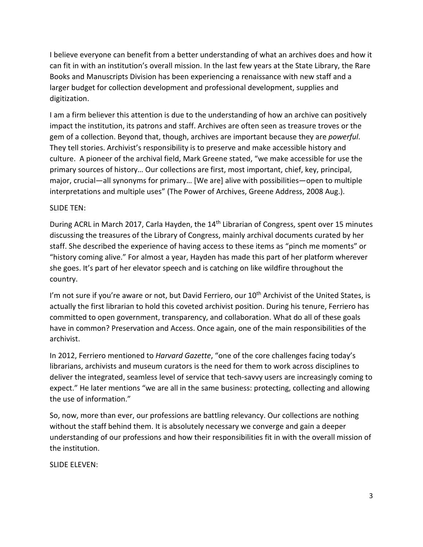I believe everyone can benefit from a better understanding of what an archives does and how it can fit in with an institution's overall mission. In the last few years at the State Library, the Rare Books and Manuscripts Division has been experiencing a renaissance with new staff and a larger budget for collection development and professional development, supplies and digitization.

I am a firm believer this attention is due to the understanding of how an archive can positively impact the institution, its patrons and staff. Archives are often seen as treasure troves or the gem of a collection. Beyond that, though, archives are important because they are *powerful*. They tell stories. Archivist's responsibility is to preserve and make accessible history and culture. A pioneer of the archival field, Mark Greene stated, "we make accessible for use the primary sources of history… Our collections are first, most important, chief, key, principal, major, crucial—all synonyms for primary… [We are] alive with possibilities—open to multiple interpretations and multiple uses" (The Power of Archives, Greene Address, 2008 Aug.).

#### SLIDE TEN:

During ACRL in March 2017, Carla Hayden, the 14<sup>th</sup> Librarian of Congress, spent over 15 minutes discussing the treasures of the Library of Congress, mainly archival documents curated by her staff. She described the experience of having access to these items as "pinch me moments" or "history coming alive." For almost a year, Hayden has made this part of her platform wherever she goes. It's part of her elevator speech and is catching on like wildfire throughout the country.

I'm not sure if you're aware or not, but David Ferriero, our 10<sup>th</sup> Archivist of the United States, is actually the first librarian to hold this coveted archivist position. During his tenure, Ferriero has committed to open government, transparency, and collaboration. What do all of these goals have in common? Preservation and Access. Once again, one of the main responsibilities of the archivist.

In 2012, Ferriero mentioned to *Harvard Gazette*, "one of the core challenges facing today's librarians, archivists and museum curators is the need for them to work across disciplines to deliver the integrated, seamless level of service that tech-savvy users are increasingly coming to expect." He later mentions "we are all in the same business: protecting, collecting and allowing the use of information."

So, now, more than ever, our professions are battling relevancy. Our collections are nothing without the staff behind them. It is absolutely necessary we converge and gain a deeper understanding of our professions and how their responsibilities fit in with the overall mission of the institution.

SLIDE ELEVEN: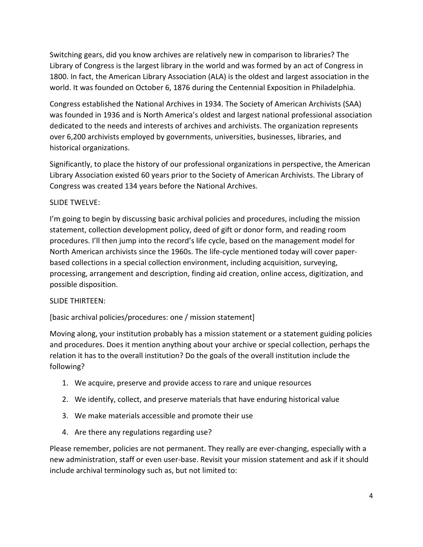Switching gears, did you know archives are relatively new in comparison to libraries? The Library of Congress is the largest library in the world and was formed by an act of Congress in 1800. In fact, the American Library Association (ALA) is the oldest and largest association in the world. It was founded on October 6, 1876 during the Centennial Exposition in Philadelphia.

Congress established the National Archives in 1934. The Society of American Archivists (SAA) was founded in 1936 and is North America's oldest and largest national professional association dedicated to the needs and interests of archives and archivists. The organization represents over 6,200 archivists employed by governments, universities, businesses, libraries, and historical organizations.

Significantly, to place the history of our professional organizations in perspective, the American Library Association existed 60 years prior to the Society of American Archivists. The Library of Congress was created 134 years before the National Archives.

# SLIDE TWELVE:

I'm going to begin by discussing basic archival policies and procedures, including the mission statement, collection development policy, deed of gift or donor form, and reading room procedures. I'll then jump into the record's life cycle, based on the management model for North American archivists since the 1960s. The life-cycle mentioned today will cover paperbased collections in a special collection environment, including acquisition, surveying, processing, arrangement and description, finding aid creation, online access, digitization, and possible disposition.

## SLIDE THIRTEEN:

[basic archival policies/procedures: one / mission statement]

Moving along, your institution probably has a mission statement or a statement guiding policies and procedures. Does it mention anything about your archive or special collection, perhaps the relation it has to the overall institution? Do the goals of the overall institution include the following?

- 1. We acquire, preserve and provide access to rare and unique resources
- 2. We identify, collect, and preserve materials that have enduring historical value
- 3. We make materials accessible and promote their use
- 4. Are there any regulations regarding use?

Please remember, policies are not permanent. They really are ever-changing, especially with a new administration, staff or even user-base. Revisit your mission statement and ask if it should include archival terminology such as, but not limited to: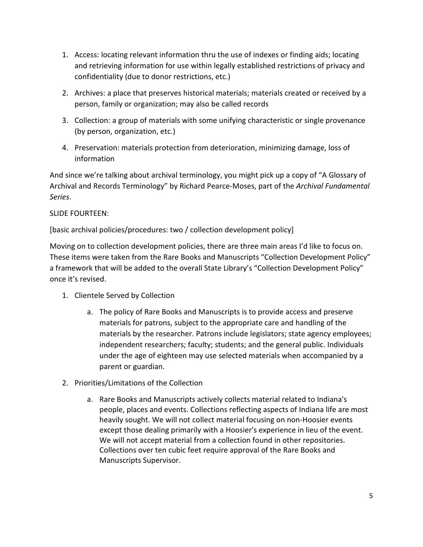- 1. Access: locating relevant information thru the use of indexes or finding aids; locating and retrieving information for use within legally established restrictions of privacy and confidentiality (due to donor restrictions, etc.)
- 2. Archives: a place that preserves historical materials; materials created or received by a person, family or organization; may also be called records
- 3. Collection: a group of materials with some unifying characteristic or single provenance (by person, organization, etc.)
- 4. Preservation: materials protection from deterioration, minimizing damage, loss of information

And since we're talking about archival terminology, you might pick up a copy of "A Glossary of Archival and Records Terminology" by Richard Pearce-Moses, part of the Archival Fundamental Series.

## SLIDE FOURTEEN:

[basic archival policies/procedures: two / collection development policy]

Moving on to collection development policies, there are three main areas I'd like to focus on. These items were taken from the Rare Books and Manuscripts "Collection Development Policy" a framework that will be added to the overall State Library's "Collection Development Policy" once it's revised.

- 1. Clientele Served by Collection
	- a. The policy of Rare Books and Manuscripts is to provide access and preserve materials for patrons, subject to the appropriate care and handling of the materials by the researcher. Patrons include legislators; state agency employees; independent researchers; faculty; students; and the general public. Individuals under the age of eighteen may use selected materials when accompanied by a parent or guardian.
- 2. Priorities/Limitations of the Collection
	- a. Rare Books and Manuscripts actively collects material related to Indiana's people, places and events. Collections reflecting aspects of Indiana life are most heavily sought. We will not collect material focusing on non-Hoosier events except those dealing primarily with a Hoosier's experience in lieu of the event. We will not accept material from a collection found in other repositories. Collections over ten cubic feet require approval of the Rare Books and Manuscripts Supervisor.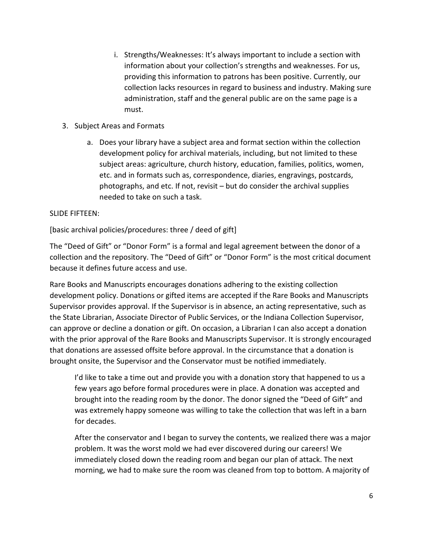- i. Strengths/Weaknesses: It's always important to include a section with information about your collection's strengths and weaknesses. For us, providing this information to patrons has been positive. Currently, our collection lacks resources in regard to business and industry. Making sure administration, staff and the general public are on the same page is a must.
- 3. Subject Areas and Formats
	- a. Does your library have a subject area and format section within the collection development policy for archival materials, including, but not limited to these subject areas: agriculture, church history, education, families, politics, women, etc. and in formats such as, correspondence, diaries, engravings, postcards, photographs, and etc. If not, revisit – but do consider the archival supplies needed to take on such a task.

#### SLIDE FIFTEEN:

[basic archival policies/procedures: three / deed of gift]

The "Deed of Gift" or "Donor Form" is a formal and legal agreement between the donor of a collection and the repository. The "Deed of Gift" or "Donor Form" is the most critical document because it defines future access and use.

Rare Books and Manuscripts encourages donations adhering to the existing collection development policy. Donations or gifted items are accepted if the Rare Books and Manuscripts Supervisor provides approval. If the Supervisor is in absence, an acting representative, such as the State Librarian, Associate Director of Public Services, or the Indiana Collection Supervisor, can approve or decline a donation or gift. On occasion, a Librarian I can also accept a donation with the prior approval of the Rare Books and Manuscripts Supervisor. It is strongly encouraged that donations are assessed offsite before approval. In the circumstance that a donation is brought onsite, the Supervisor and the Conservator must be notified immediately.

I'd like to take a time out and provide you with a donation story that happened to us a few years ago before formal procedures were in place. A donation was accepted and brought into the reading room by the donor. The donor signed the "Deed of Gift" and was extremely happy someone was willing to take the collection that was left in a barn for decades.

After the conservator and I began to survey the contents, we realized there was a major problem. It was the worst mold we had ever discovered during our careers! We immediately closed down the reading room and began our plan of attack. The next morning, we had to make sure the room was cleaned from top to bottom. A majority of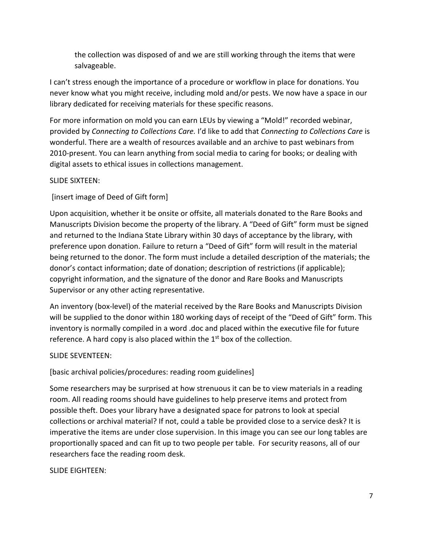the collection was disposed of and we are still working through the items that were salvageable.

I can't stress enough the importance of a procedure or workflow in place for donations. You never know what you might receive, including mold and/or pests. We now have a space in our library dedicated for receiving materials for these specific reasons.

For more information on mold you can earn LEUs by viewing a "Mold!" recorded webinar, provided by Connecting to Collections Care. I'd like to add that Connecting to Collections Care is wonderful. There are a wealth of resources available and an archive to past webinars from 2010-present. You can learn anything from social media to caring for books; or dealing with digital assets to ethical issues in collections management.

## SLIDE SIXTEEN:

[insert image of Deed of Gift form]

Upon acquisition, whether it be onsite or offsite, all materials donated to the Rare Books and Manuscripts Division become the property of the library. A "Deed of Gift" form must be signed and returned to the Indiana State Library within 30 days of acceptance by the library, with preference upon donation. Failure to return a "Deed of Gift" form will result in the material being returned to the donor. The form must include a detailed description of the materials; the donor's contact information; date of donation; description of restrictions (if applicable); copyright information, and the signature of the donor and Rare Books and Manuscripts Supervisor or any other acting representative.

An inventory (box-level) of the material received by the Rare Books and Manuscripts Division will be supplied to the donor within 180 working days of receipt of the "Deed of Gift" form. This inventory is normally compiled in a word .doc and placed within the executive file for future reference. A hard copy is also placed within the  $1<sup>st</sup>$  box of the collection.

#### SLIDE SEVENTEEN:

[basic archival policies/procedures: reading room guidelines]

Some researchers may be surprised at how strenuous it can be to view materials in a reading room. All reading rooms should have guidelines to help preserve items and protect from possible theft. Does your library have a designated space for patrons to look at special collections or archival material? If not, could a table be provided close to a service desk? It is imperative the items are under close supervision. In this image you can see our long tables are proportionally spaced and can fit up to two people per table. For security reasons, all of our researchers face the reading room desk.

SLIDE EIGHTEEN: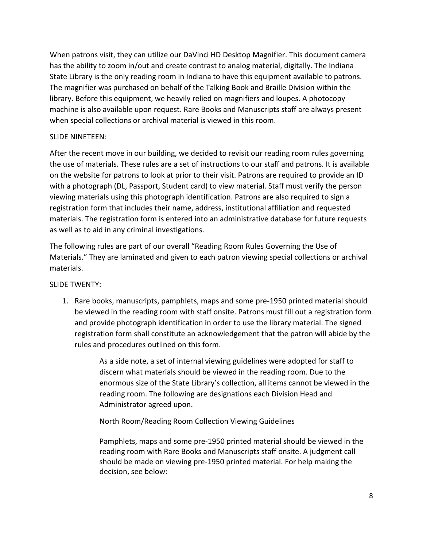When patrons visit, they can utilize our DaVinci HD Desktop Magnifier. This document camera has the ability to zoom in/out and create contrast to analog material, digitally. The Indiana State Library is the only reading room in Indiana to have this equipment available to patrons. The magnifier was purchased on behalf of the Talking Book and Braille Division within the library. Before this equipment, we heavily relied on magnifiers and loupes. A photocopy machine is also available upon request. Rare Books and Manuscripts staff are always present when special collections or archival material is viewed in this room.

#### SLIDE NINETEEN:

After the recent move in our building, we decided to revisit our reading room rules governing the use of materials. These rules are a set of instructions to our staff and patrons. It is available on the website for patrons to look at prior to their visit. Patrons are required to provide an ID with a photograph (DL, Passport, Student card) to view material. Staff must verify the person viewing materials using this photograph identification. Patrons are also required to sign a registration form that includes their name, address, institutional affiliation and requested materials. The registration form is entered into an administrative database for future requests as well as to aid in any criminal investigations.

The following rules are part of our overall "Reading Room Rules Governing the Use of Materials." They are laminated and given to each patron viewing special collections or archival materials.

## SLIDE TWENTY:

1. Rare books, manuscripts, pamphlets, maps and some pre-1950 printed material should be viewed in the reading room with staff onsite. Patrons must fill out a registration form and provide photograph identification in order to use the library material. The signed registration form shall constitute an acknowledgement that the patron will abide by the rules and procedures outlined on this form.

> As a side note, a set of internal viewing guidelines were adopted for staff to discern what materials should be viewed in the reading room. Due to the enormous size of the State Library's collection, all items cannot be viewed in the reading room. The following are designations each Division Head and Administrator agreed upon.

## North Room/Reading Room Collection Viewing Guidelines

Pamphlets, maps and some pre-1950 printed material should be viewed in the reading room with Rare Books and Manuscripts staff onsite. A judgment call should be made on viewing pre-1950 printed material. For help making the decision, see below: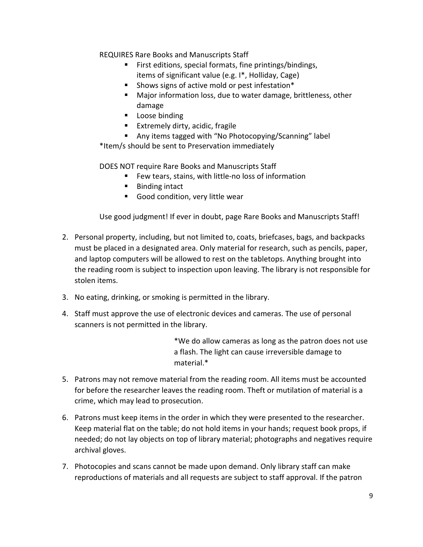REQUIRES Rare Books and Manuscripts Staff

- First editions, special formats, fine printings/bindings, items of significant value (e.g. I\*, Holliday, Cage)
- **Shows signs of active mold or pest infestation\***
- Major information loss, due to water damage, brittleness, other damage
- **Loose binding**
- **Extremely dirty, acidic, fragile**
- Any items tagged with "No Photocopying/Scanning" label

\*Item/s should be sent to Preservation immediately

DOES NOT require Rare Books and Manuscripts Staff

- Few tears, stains, with little-no loss of information
- Binding intact
- Good condition, very little wear

Use good judgment! If ever in doubt, page Rare Books and Manuscripts Staff!

- 2. Personal property, including, but not limited to, coats, briefcases, bags, and backpacks must be placed in a designated area. Only material for research, such as pencils, paper, and laptop computers will be allowed to rest on the tabletops. Anything brought into the reading room is subject to inspection upon leaving. The library is not responsible for stolen items.
- 3. No eating, drinking, or smoking is permitted in the library.
- 4. Staff must approve the use of electronic devices and cameras. The use of personal scanners is not permitted in the library.

\*We do allow cameras as long as the patron does not use a flash. The light can cause irreversible damage to material.\*

- 5. Patrons may not remove material from the reading room. All items must be accounted for before the researcher leaves the reading room. Theft or mutilation of material is a crime, which may lead to prosecution.
- 6. Patrons must keep items in the order in which they were presented to the researcher. Keep material flat on the table; do not hold items in your hands; request book props, if needed; do not lay objects on top of library material; photographs and negatives require archival gloves.
- 7. Photocopies and scans cannot be made upon demand. Only library staff can make reproductions of materials and all requests are subject to staff approval. If the patron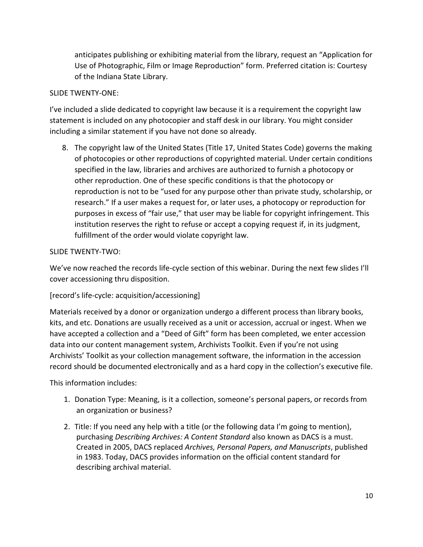anticipates publishing or exhibiting material from the library, request an "Application for Use of Photographic, Film or Image Reproduction" form. Preferred citation is: Courtesy of the Indiana State Library.

## SLIDE TWENTY-ONE:

I've included a slide dedicated to copyright law because it is a requirement the copyright law statement is included on any photocopier and staff desk in our library. You might consider including a similar statement if you have not done so already.

8. The copyright law of the United States (Title 17, United States Code) governs the making of photocopies or other reproductions of copyrighted material. Under certain conditions specified in the law, libraries and archives are authorized to furnish a photocopy or other reproduction. One of these specific conditions is that the photocopy or reproduction is not to be "used for any purpose other than private study, scholarship, or research." If a user makes a request for, or later uses, a photocopy or reproduction for purposes in excess of "fair use," that user may be liable for copyright infringement. This institution reserves the right to refuse or accept a copying request if, in its judgment, fulfillment of the order would violate copyright law.

## SLIDE TWENTY-TWO:

We've now reached the records life-cycle section of this webinar. During the next few slides I'll cover accessioning thru disposition.

## [record's life-cycle: acquisition/accessioning]

Materials received by a donor or organization undergo a different process than library books, kits, and etc. Donations are usually received as a unit or accession, accrual or ingest. When we have accepted a collection and a "Deed of Gift" form has been completed, we enter accession data into our content management system, Archivists Toolkit. Even if you're not using Archivists' Toolkit as your collection management software, the information in the accession record should be documented electronically and as a hard copy in the collection's executive file.

This information includes:

- 1. Donation Type: Meaning, is it a collection, someone's personal papers, or records from an organization or business?
- 2. Title: If you need any help with a title (or the following data I'm going to mention), purchasing Describing Archives: A Content Standard also known as DACS is a must. Created in 2005, DACS replaced Archives, Personal Papers, and Manuscripts, published in 1983. Today, DACS provides information on the official content standard for describing archival material.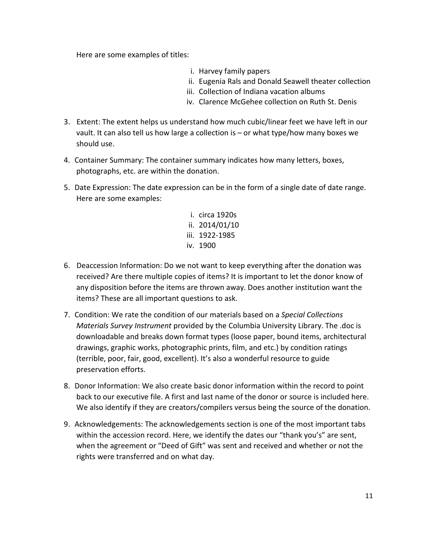Here are some examples of titles:

- i. Harvey family papers
- ii. Eugenia Rals and Donald Seawell theater collection
- iii. Collection of Indiana vacation albums
- iv. Clarence McGehee collection on Ruth St. Denis
- 3. Extent: The extent helps us understand how much cubic/linear feet we have left in our vault. It can also tell us how large a collection is – or what type/how many boxes we should use.
- 4. Container Summary: The container summary indicates how many letters, boxes, photographs, etc. are within the donation.
- 5. Date Expression: The date expression can be in the form of a single date of date range. Here are some examples:
	- i. circa 1920s ii. 2014/01/10 iii. 1922-1985 iv. 1900
- 6. Deaccession Information: Do we not want to keep everything after the donation was received? Are there multiple copies of items? It is important to let the donor know of any disposition before the items are thrown away. Does another institution want the items? These are all important questions to ask.
- 7. Condition: We rate the condition of our materials based on a Special Collections Materials Survey Instrument provided by the Columbia University Library. The .doc is downloadable and breaks down format types (loose paper, bound items, architectural drawings, graphic works, photographic prints, film, and etc.) by condition ratings (terrible, poor, fair, good, excellent). It's also a wonderful resource to guide preservation efforts.
- 8. Donor Information: We also create basic donor information within the record to point back to our executive file. A first and last name of the donor or source is included here. We also identify if they are creators/compilers versus being the source of the donation.
- 9. Acknowledgements: The acknowledgements section is one of the most important tabs within the accession record. Here, we identify the dates our "thank you's" are sent, when the agreement or "Deed of Gift" was sent and received and whether or not the rights were transferred and on what day.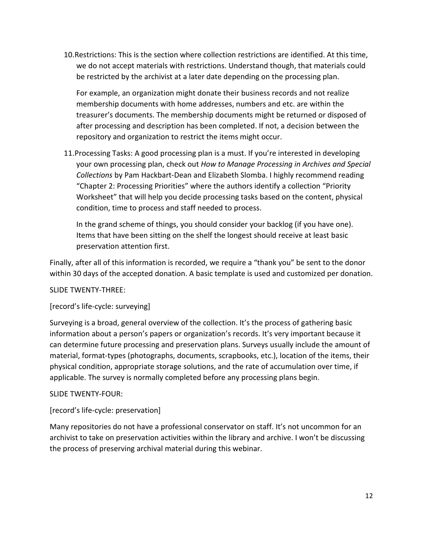10.Restrictions: This is the section where collection restrictions are identified. At this time, we do not accept materials with restrictions. Understand though, that materials could be restricted by the archivist at a later date depending on the processing plan.

For example, an organization might donate their business records and not realize membership documents with home addresses, numbers and etc. are within the treasurer's documents. The membership documents might be returned or disposed of after processing and description has been completed. If not, a decision between the repository and organization to restrict the items might occur.

11.Processing Tasks: A good processing plan is a must. If you're interested in developing your own processing plan, check out How to Manage Processing in Archives and Special Collections by Pam Hackbart-Dean and Elizabeth Slomba. I highly recommend reading "Chapter 2: Processing Priorities" where the authors identify a collection "Priority Worksheet" that will help you decide processing tasks based on the content, physical condition, time to process and staff needed to process.

In the grand scheme of things, you should consider your backlog (if you have one). Items that have been sitting on the shelf the longest should receive at least basic preservation attention first.

Finally, after all of this information is recorded, we require a "thank you" be sent to the donor within 30 days of the accepted donation. A basic template is used and customized per donation.

#### SLIDE TWENTY-THREE:

## [record's life-cycle: surveying]

Surveying is a broad, general overview of the collection. It's the process of gathering basic information about a person's papers or organization's records. It's very important because it can determine future processing and preservation plans. Surveys usually include the amount of material, format-types (photographs, documents, scrapbooks, etc.), location of the items, their physical condition, appropriate storage solutions, and the rate of accumulation over time, if applicable. The survey is normally completed before any processing plans begin.

#### SLIDE TWENTY-FOUR:

#### [record's life-cycle: preservation]

Many repositories do not have a professional conservator on staff. It's not uncommon for an archivist to take on preservation activities within the library and archive. I won't be discussing the process of preserving archival material during this webinar.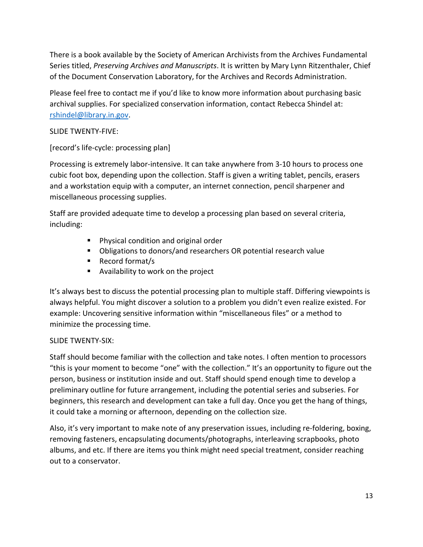There is a book available by the Society of American Archivists from the Archives Fundamental Series titled, Preserving Archives and Manuscripts. It is written by Mary Lynn Ritzenthaler, Chief of the Document Conservation Laboratory, for the Archives and Records Administration.

Please feel free to contact me if you'd like to know more information about purchasing basic archival supplies. For specialized conservation information, contact Rebecca Shindel at: rshindel@library.in.gov.

## SLIDE TWENTY-FIVE:

[record's life-cycle: processing plan]

Processing is extremely labor-intensive. It can take anywhere from 3-10 hours to process one cubic foot box, depending upon the collection. Staff is given a writing tablet, pencils, erasers and a workstation equip with a computer, an internet connection, pencil sharpener and miscellaneous processing supplies.

Staff are provided adequate time to develop a processing plan based on several criteria, including:

- **Physical condition and original order**
- Obligations to donors/and researchers OR potential research value
- Record format/s
- Availability to work on the project

It's always best to discuss the potential processing plan to multiple staff. Differing viewpoints is always helpful. You might discover a solution to a problem you didn't even realize existed. For example: Uncovering sensitive information within "miscellaneous files" or a method to minimize the processing time.

## SLIDE TWENTY-SIX:

Staff should become familiar with the collection and take notes. I often mention to processors "this is your moment to become "one" with the collection." It's an opportunity to figure out the person, business or institution inside and out. Staff should spend enough time to develop a preliminary outline for future arrangement, including the potential series and subseries. For beginners, this research and development can take a full day. Once you get the hang of things, it could take a morning or afternoon, depending on the collection size.

Also, it's very important to make note of any preservation issues, including re-foldering, boxing, removing fasteners, encapsulating documents/photographs, interleaving scrapbooks, photo albums, and etc. If there are items you think might need special treatment, consider reaching out to a conservator.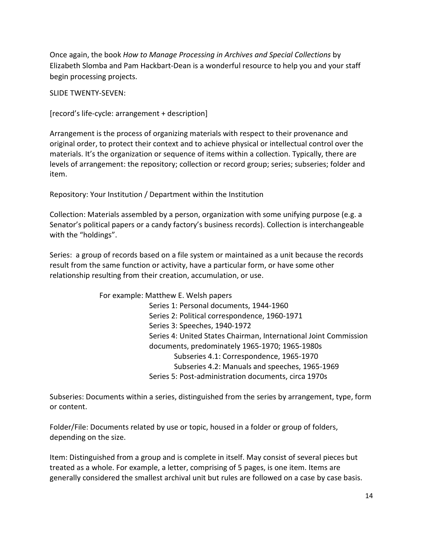Once again, the book How to Manage Processing in Archives and Special Collections by Elizabeth Slomba and Pam Hackbart-Dean is a wonderful resource to help you and your staff begin processing projects.

SLIDE TWENTY-SEVEN:

[record's life-cycle: arrangement + description]

Arrangement is the process of organizing materials with respect to their provenance and original order, to protect their context and to achieve physical or intellectual control over the materials. It's the organization or sequence of items within a collection. Typically, there are levels of arrangement: the repository; collection or record group; series; subseries; folder and item.

Repository: Your Institution / Department within the Institution

Collection: Materials assembled by a person, organization with some unifying purpose (e.g. a Senator's political papers or a candy factory's business records). Collection is interchangeable with the "holdings".

Series: a group of records based on a file system or maintained as a unit because the records result from the same function or activity, have a particular form, or have some other relationship resulting from their creation, accumulation, or use.

> For example: Matthew E. Welsh papers Series 1: Personal documents, 1944-1960 Series 2: Political correspondence, 1960-1971 Series 3: Speeches, 1940-1972 Series 4: United States Chairman, International Joint Commission documents, predominately 1965-1970; 1965-1980s Subseries 4.1: Correspondence, 1965-1970 Subseries 4.2: Manuals and speeches, 1965-1969 Series 5: Post-administration documents, circa 1970s

Subseries: Documents within a series, distinguished from the series by arrangement, type, form or content.

Folder/File: Documents related by use or topic, housed in a folder or group of folders, depending on the size.

Item: Distinguished from a group and is complete in itself. May consist of several pieces but treated as a whole. For example, a letter, comprising of 5 pages, is one item. Items are generally considered the smallest archival unit but rules are followed on a case by case basis.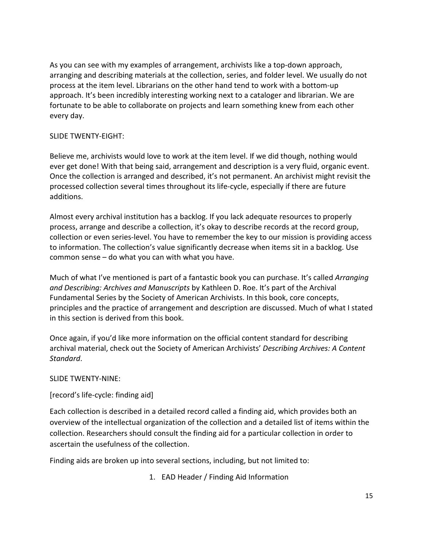As you can see with my examples of arrangement, archivists like a top-down approach, arranging and describing materials at the collection, series, and folder level. We usually do not process at the item level. Librarians on the other hand tend to work with a bottom-up approach. It's been incredibly interesting working next to a cataloger and librarian. We are fortunate to be able to collaborate on projects and learn something knew from each other every day.

#### SLIDE TWENTY-EIGHT:

Believe me, archivists would love to work at the item level. If we did though, nothing would ever get done! With that being said, arrangement and description is a very fluid, organic event. Once the collection is arranged and described, it's not permanent. An archivist might revisit the processed collection several times throughout its life-cycle, especially if there are future additions.

Almost every archival institution has a backlog. If you lack adequate resources to properly process, arrange and describe a collection, it's okay to describe records at the record group, collection or even series-level. You have to remember the key to our mission is providing access to information. The collection's value significantly decrease when items sit in a backlog. Use common sense – do what you can with what you have.

Much of what I've mentioned is part of a fantastic book you can purchase. It's called Arranging and Describing: Archives and Manuscripts by Kathleen D. Roe. It's part of the Archival Fundamental Series by the Society of American Archivists. In this book, core concepts, principles and the practice of arrangement and description are discussed. Much of what I stated in this section is derived from this book.

Once again, if you'd like more information on the official content standard for describing archival material, check out the Society of American Archivists' Describing Archives: A Content Standard.

#### SLIDE TWENTY-NINE:

## [record's life-cycle: finding aid]

Each collection is described in a detailed record called a finding aid, which provides both an overview of the intellectual organization of the collection and a detailed list of items within the collection. Researchers should consult the finding aid for a particular collection in order to ascertain the usefulness of the collection.

Finding aids are broken up into several sections, including, but not limited to:

1. EAD Header / Finding Aid Information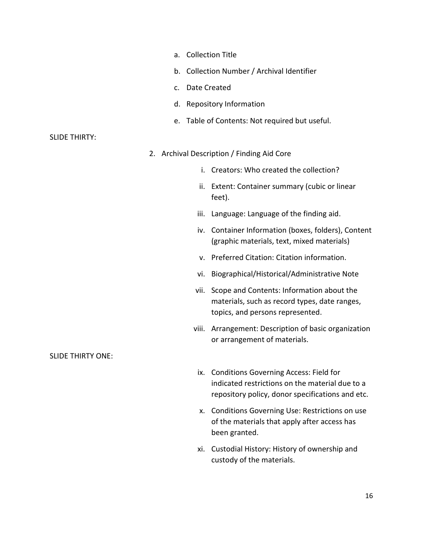- a. Collection Title
- b. Collection Number / Archival Identifier
- c. Date Created
- d. Repository Information
- e. Table of Contents: Not required but useful.

#### SLIDE THIRTY:

- 2. Archival Description / Finding Aid Core
	- i. Creators: Who created the collection?
	- ii. Extent: Container summary (cubic or linear feet).
	- iii. Language: Language of the finding aid.
	- iv. Container Information (boxes, folders), Content (graphic materials, text, mixed materials)
	- v. Preferred Citation: Citation information.
	- vi. Biographical/Historical/Administrative Note
	- vii. Scope and Contents: Information about the materials, such as record types, date ranges, topics, and persons represented.
	- viii. Arrangement: Description of basic organization or arrangement of materials.
		- ix. Conditions Governing Access: Field for indicated restrictions on the material due to a repository policy, donor specifications and etc.
		- x. Conditions Governing Use: Restrictions on use of the materials that apply after access has been granted.
		- xi. Custodial History: History of ownership and custody of the materials.

SLIDE THIRTY ONE: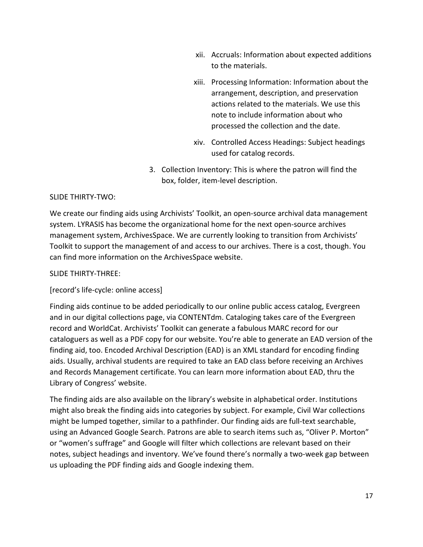- xii. Accruals: Information about expected additions to the materials.
- xiii. Processing Information: Information about the arrangement, description, and preservation actions related to the materials. We use this note to include information about who processed the collection and the date.
- xiv. Controlled Access Headings: Subject headings used for catalog records.
- 3. Collection Inventory: This is where the patron will find the box, folder, item-level description.

## SLIDE THIRTY-TWO:

We create our finding aids using Archivists' Toolkit, an open-source archival data management system. LYRASIS has become the organizational home for the next open-source archives management system, ArchivesSpace. We are currently looking to transition from Archivists' Toolkit to support the management of and access to our archives. There is a cost, though. You can find more information on the ArchivesSpace website.

#### SLIDE THIRTY-THREE:

## [record's life-cycle: online access]

Finding aids continue to be added periodically to our online public access catalog, Evergreen and in our digital collections page, via CONTENTdm. Cataloging takes care of the Evergreen record and WorldCat. Archivists' Toolkit can generate a fabulous MARC record for our cataloguers as well as a PDF copy for our website. You're able to generate an EAD version of the finding aid, too. Encoded Archival Description (EAD) is an XML standard for encoding finding aids. Usually, archival students are required to take an EAD class before receiving an Archives and Records Management certificate. You can learn more information about EAD, thru the Library of Congress' website.

The finding aids are also available on the library's website in alphabetical order. Institutions might also break the finding aids into categories by subject. For example, Civil War collections might be lumped together, similar to a pathfinder. Our finding aids are full-text searchable, using an Advanced Google Search. Patrons are able to search items such as, "Oliver P. Morton" or "women's suffrage" and Google will filter which collections are relevant based on their notes, subject headings and inventory. We've found there's normally a two-week gap between us uploading the PDF finding aids and Google indexing them.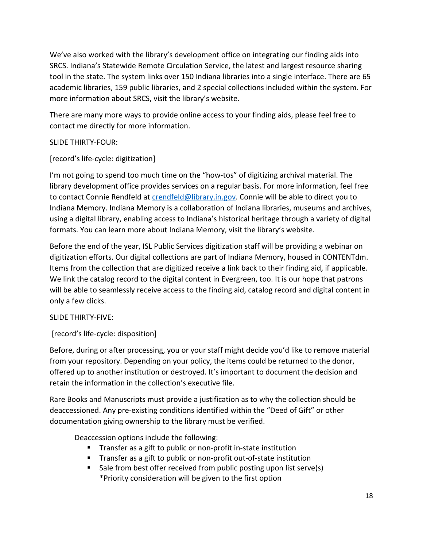We've also worked with the library's development office on integrating our finding aids into SRCS. Indiana's Statewide Remote Circulation Service, the latest and largest resource sharing tool in the state. The system links over 150 Indiana libraries into a single interface. There are 65 academic libraries, 159 public libraries, and 2 special collections included within the system. For more information about SRCS, visit the library's website.

There are many more ways to provide online access to your finding aids, please feel free to contact me directly for more information.

# SLIDE THIRTY-FOUR:

# [record's life-cycle: digitization]

I'm not going to spend too much time on the "how-tos" of digitizing archival material. The library development office provides services on a regular basis. For more information, feel free to contact Connie Rendfeld at crendfeld@library.in.gov. Connie will be able to direct you to Indiana Memory. Indiana Memory is a collaboration of Indiana libraries, museums and archives, using a digital library, enabling access to Indiana's historical heritage through a variety of digital formats. You can learn more about Indiana Memory, visit the library's website.

Before the end of the year, ISL Public Services digitization staff will be providing a webinar on digitization efforts. Our digital collections are part of Indiana Memory, housed in CONTENTdm. Items from the collection that are digitized receive a link back to their finding aid, if applicable. We link the catalog record to the digital content in Evergreen, too. It is our hope that patrons will be able to seamlessly receive access to the finding aid, catalog record and digital content in only a few clicks.

## SLIDE THIRTY-FIVE:

[record's life-cycle: disposition]

Before, during or after processing, you or your staff might decide you'd like to remove material from your repository. Depending on your policy, the items could be returned to the donor, offered up to another institution or destroyed. It's important to document the decision and retain the information in the collection's executive file.

Rare Books and Manuscripts must provide a justification as to why the collection should be deaccessioned. Any pre-existing conditions identified within the "Deed of Gift" or other documentation giving ownership to the library must be verified.

Deaccession options include the following:

- **Transfer as a gift to public or non-profit in-state institution**
- **Transfer as a gift to public or non-profit out-of-state institution**
- Sale from best offer received from public posting upon list serve(s) \*Priority consideration will be given to the first option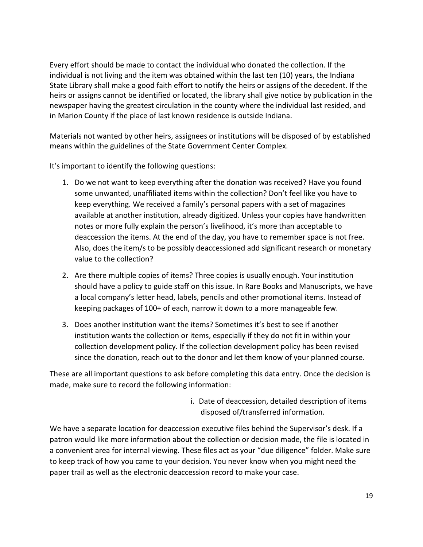Every effort should be made to contact the individual who donated the collection. If the individual is not living and the item was obtained within the last ten (10) years, the Indiana State Library shall make a good faith effort to notify the heirs or assigns of the decedent. If the heirs or assigns cannot be identified or located, the library shall give notice by publication in the newspaper having the greatest circulation in the county where the individual last resided, and in Marion County if the place of last known residence is outside Indiana.

Materials not wanted by other heirs, assignees or institutions will be disposed of by established means within the guidelines of the State Government Center Complex.

It's important to identify the following questions:

- 1. Do we not want to keep everything after the donation was received? Have you found some unwanted, unaffiliated items within the collection? Don't feel like you have to keep everything. We received a family's personal papers with a set of magazines available at another institution, already digitized. Unless your copies have handwritten notes or more fully explain the person's livelihood, it's more than acceptable to deaccession the items. At the end of the day, you have to remember space is not free. Also, does the item/s to be possibly deaccessioned add significant research or monetary value to the collection?
- 2. Are there multiple copies of items? Three copies is usually enough. Your institution should have a policy to guide staff on this issue. In Rare Books and Manuscripts, we have a local company's letter head, labels, pencils and other promotional items. Instead of keeping packages of 100+ of each, narrow it down to a more manageable few.
- 3. Does another institution want the items? Sometimes it's best to see if another institution wants the collection or items, especially if they do not fit in within your collection development policy. If the collection development policy has been revised since the donation, reach out to the donor and let them know of your planned course.

These are all important questions to ask before completing this data entry. Once the decision is made, make sure to record the following information:

> i. Date of deaccession, detailed description of items disposed of/transferred information.

We have a separate location for deaccession executive files behind the Supervisor's desk. If a patron would like more information about the collection or decision made, the file is located in a convenient area for internal viewing. These files act as your "due diligence" folder. Make sure to keep track of how you came to your decision. You never know when you might need the paper trail as well as the electronic deaccession record to make your case.